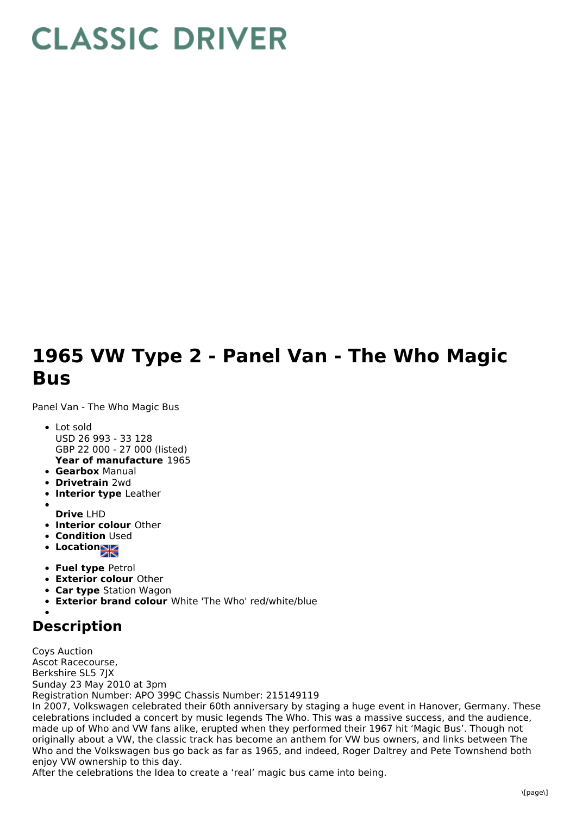## **CLASSIC DRIVER**

## **1965 VW Type 2 - Panel Van - The Who Magic Bus**

Panel Van - The Who Magic Bus

- **Year of manufacture** 1965 Lot sold USD 26 993 - 33 128 GBP 22 000 - 27 000 (listed)
- **Gearbox** Manual
- **Drivetrain** 2wd
- **Interior type** Leather
- **Drive** LHD
- **Interior colour** Other
- **Condition Used**
- Location
- **Fuel type** Petrol
- **Exterior colour** Other
- **Car type** Station Wagon
- **Exterior brand colour** White 'The Who' red/white/blue

## **Description**

Coys Auction Ascot Racecourse, Berkshire SL5 7JX Sunday 23 May 2010 at 3pm Registration Number: APO 399C Chassis Number: 215149119 In 2007, Volkswagen celebrated their 60th anniversary by staging a huge event in Hanover, Germany. These

celebrations included a concert by music legends The Who. This was a massive success, and the audience, made up of Who and VW fans alike, erupted when they performed their 1967 hit 'Magic Bus'. Though not originally about a VW, the classic track has become an anthem for VW bus owners, and links between The Who and the Volkswagen bus go back as far as 1965, and indeed, Roger Daltrey and Pete Townshend both enjoy VW ownership to this day.

After the celebrations the Idea to create a 'real' magic bus came into being.